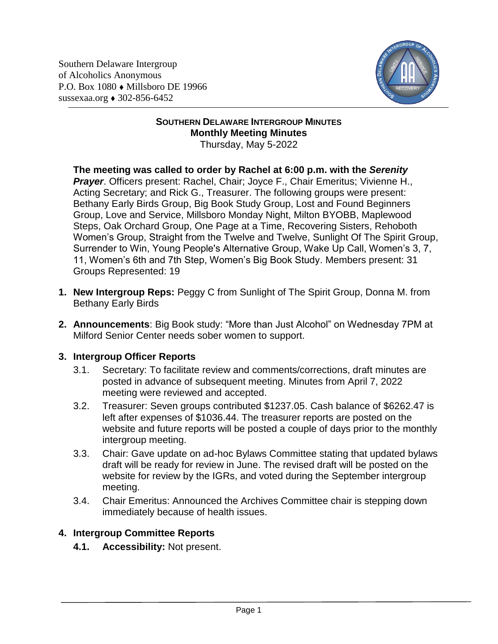Southern Delaware Intergroup of Alcoholics Anonymous P.O. Box 1080 Millsboro DE 19966 sussexaa.org  $\triangle$  302-856-6452



#### **SOUTHERN DELAWARE INTERGROUP MINUTES Monthly Meeting Minutes** Thursday, May 5-2022

#### **The meeting was called to order by Rachel at 6:00 p.m. with the** *Serenity Prayer*. Officers present: Rachel, Chair; Joyce F., Chair Emeritus; Vivienne H., Acting Secretary; and Rick G., Treasurer. The following groups were present: Bethany Early Birds Group, Big Book Study Group, Lost and Found Beginners Group, Love and Service, Millsboro Monday Night, Milton BYOBB, Maplewood Steps, Oak Orchard Group, One Page at a Time, Recovering Sisters, Rehoboth Women's Group, Straight from the Twelve and Twelve, Sunlight Of The Spirit Group, Surrender to Win, Young People's Alternative Group, Wake Up Call, Women's 3, 7, 11, Women's 6th and 7th Step, Women's Big Book Study. Members present: 31 Groups Represented: 19

- **1. New Intergroup Reps:** Peggy C from Sunlight of The Spirit Group, Donna M. from Bethany Early Birds
- **2. Announcements**: Big Book study: "More than Just Alcohol" on Wednesday 7PM at Milford Senior Center needs sober women to support.

# **3. Intergroup Officer Reports**

- 3.1. Secretary: To facilitate review and comments/corrections, draft minutes are posted in advance of subsequent meeting. Minutes from April 7, 2022 meeting were reviewed and accepted.
- 3.2. Treasurer: Seven groups contributed \$1237.05. Cash balance of \$6262.47 is left after expenses of \$1036.44. The treasurer reports are posted on the website and future reports will be posted a couple of days prior to the monthly intergroup meeting.
- 3.3. Chair: Gave update on ad-hoc Bylaws Committee stating that updated bylaws draft will be ready for review in June. The revised draft will be posted on the website for review by the IGRs, and voted during the September intergroup meeting.
- 3.4. Chair Emeritus: Announced the Archives Committee chair is stepping down immediately because of health issues.

# **4. Intergroup Committee Reports**

**4.1. Accessibility:** Not present.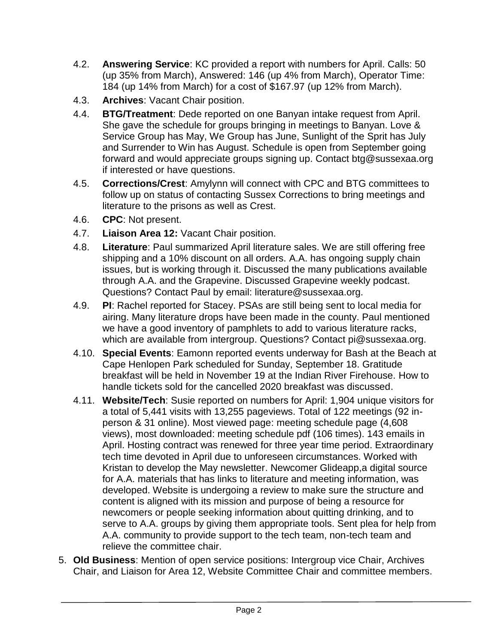- 4.2. **Answering Service**: KC provided a report with numbers for April. Calls: 50 (up 35% from March), Answered: 146 (up 4% from March), Operator Time: 184 (up 14% from March) for a cost of \$167.97 (up 12% from March).
- 4.3. **Archives**: Vacant Chair position.
- 4.4. **BTG/Treatment**: Dede reported on one Banyan intake request from April. She gave the schedule for groups bringing in meetings to Banyan. Love & Service Group has May, We Group has June, Sunlight of the Sprit has July and Surrender to Win has August. Schedule is open from September going forward and would appreciate groups signing up. Contact btg@sussexaa.org if interested or have questions.
- 4.5. **Corrections/Crest**: Amylynn will connect with CPC and BTG committees to follow up on status of contacting Sussex Corrections to bring meetings and literature to the prisons as well as Crest.
- 4.6. **CPC**: Not present.
- 4.7. **Liaison Area 12:** Vacant Chair position.
- 4.8. **Literature**: Paul summarized April literature sales. We are still offering free shipping and a 10% discount on all orders. A.A. has ongoing supply chain issues, but is working through it. Discussed the many publications available through A.A. and the Grapevine. Discussed Grapevine weekly podcast. Questions? Contact Paul by email: literature@sussexaa.org.
- 4.9. **PI**: Rachel reported for Stacey. PSAs are still being sent to local media for airing. Many literature drops have been made in the county. Paul mentioned we have a good inventory of pamphlets to add to various literature racks, which are available from intergroup. Questions? Contact pi@sussexaa.org.
- 4.10. **Special Events**: Eamonn reported events underway for Bash at the Beach at Cape Henlopen Park scheduled for Sunday, September 18. Gratitude breakfast will be held in November 19 at the Indian River Firehouse. How to handle tickets sold for the cancelled 2020 breakfast was discussed.
- 4.11. **Website/Tech**: Susie reported on numbers for April: 1,904 unique visitors for a total of 5,441 visits with 13,255 pageviews. Total of 122 meetings (92 inperson & 31 online). Most viewed page: meeting schedule page (4,608 views), most downloaded: meeting schedule pdf (106 times). 143 emails in April. Hosting contract was renewed for three year time period. Extraordinary tech time devoted in April due to unforeseen circumstances. Worked with Kristan to develop the May newsletter. Newcomer Glideapp,a digital source for A.A. materials that has links to literature and meeting information, was developed. Website is undergoing a review to make sure the structure and content is aligned with its mission and purpose of being a resource for newcomers or people seeking information about quitting drinking, and to serve to A.A. groups by giving them appropriate tools. Sent plea for help from A.A. community to provide support to the tech team, non-tech team and relieve the committee chair.
- 5. **Old Business**: Mention of open service positions: Intergroup vice Chair, Archives Chair, and Liaison for Area 12, Website Committee Chair and committee members.